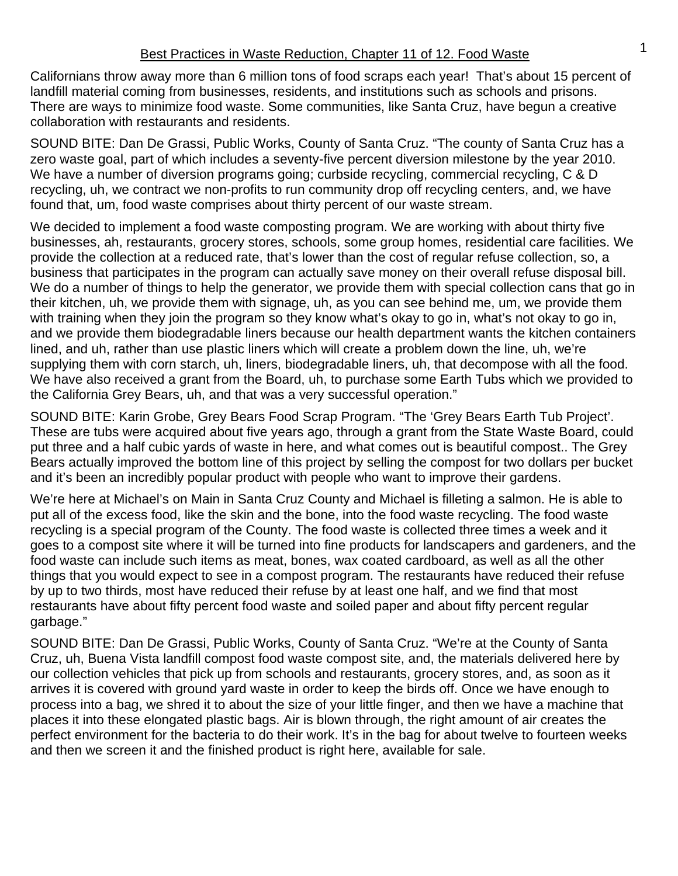Californians throw away more than 6 million tons of food scraps each year! That's about 15 percent of landfill material coming from businesses, residents, and institutions such as schools and prisons. There are ways to minimize food waste. Some communities, like Santa Cruz, have begun a creative collaboration with restaurants and residents.

SOUND BITE: Dan De Grassi, Public Works, County of Santa Cruz. "The county of Santa Cruz has a zero waste goal, part of which includes a seventy-five percent diversion milestone by the year 2010. We have a number of diversion programs going; curbside recycling, commercial recycling, C & D recycling, uh, we contract we non-profits to run community drop off recycling centers, and, we have found that, um, food waste comprises about thirty percent of our waste stream.

We decided to implement a food waste composting program. We are working with about thirty five businesses, ah, restaurants, grocery stores, schools, some group homes, residential care facilities. We provide the collection at a reduced rate, that's lower than the cost of regular refuse collection, so, a business that participates in the program can actually save money on their overall refuse disposal bill. We do a number of things to help the generator, we provide them with special collection cans that go in their kitchen, uh, we provide them with signage, uh, as you can see behind me, um, we provide them with training when they join the program so they know what's okay to go in, what's not okay to go in, and we provide them biodegradable liners because our health department wants the kitchen containers lined, and uh, rather than use plastic liners which will create a problem down the line, uh, we're supplying them with corn starch, uh, liners, biodegradable liners, uh, that decompose with all the food. We have also received a grant from the Board, uh, to purchase some Earth Tubs which we provided to the California Grey Bears, uh, and that was a very successful operation."

SOUND BITE: Karin Grobe, Grey Bears Food Scrap Program. "The 'Grey Bears Earth Tub Project'. These are tubs were acquired about five years ago, through a grant from the State Waste Board, could put three and a half cubic yards of waste in here, and what comes out is beautiful compost.. The Grey Bears actually improved the bottom line of this project by selling the compost for two dollars per bucket and it's been an incredibly popular product with people who want to improve their gardens.

We're here at Michael's on Main in Santa Cruz County and Michael is filleting a salmon. He is able to put all of the excess food, like the skin and the bone, into the food waste recycling. The food waste recycling is a special program of the County. The food waste is collected three times a week and it goes to a compost site where it will be turned into fine products for landscapers and gardeners, and the food waste can include such items as meat, bones, wax coated cardboard, as well as all the other things that you would expect to see in a compost program. The restaurants have reduced their refuse by up to two thirds, most have reduced their refuse by at least one half, and we find that most restaurants have about fifty percent food waste and soiled paper and about fifty percent regular garbage."

SOUND BITE: Dan De Grassi, Public Works, County of Santa Cruz. "We're at the County of Santa Cruz, uh, Buena Vista landfill compost food waste compost site, and, the materials delivered here by our collection vehicles that pick up from schools and restaurants, grocery stores, and, as soon as it arrives it is covered with ground yard waste in order to keep the birds off. Once we have enough to process into a bag, we shred it to about the size of your little finger, and then we have a machine that places it into these elongated plastic bags. Air is blown through, the right amount of air creates the perfect environment for the bacteria to do their work. It's in the bag for about twelve to fourteen weeks and then we screen it and the finished product is right here, available for sale.